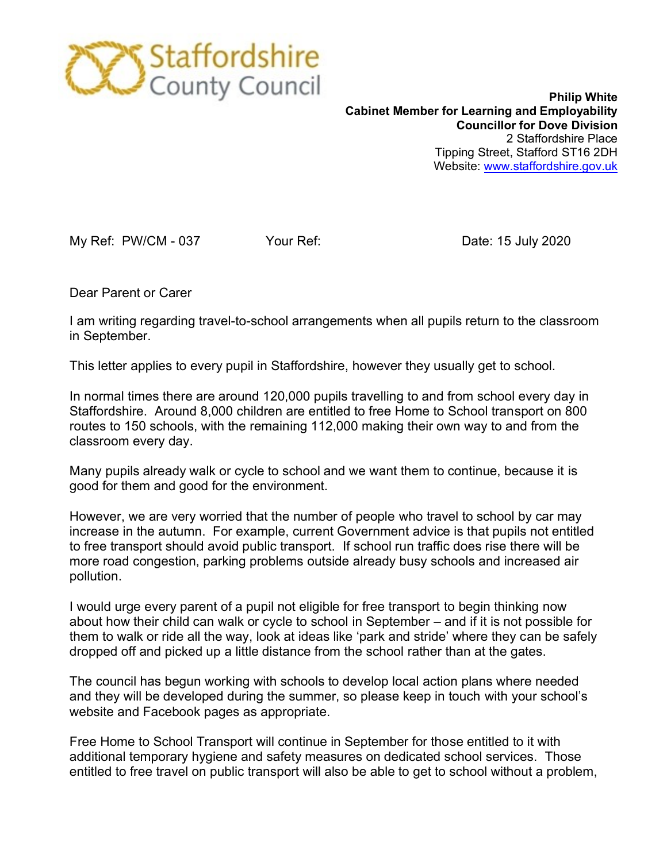

**Philip White Cabinet Member for Learning and Employability Councillor for Dove Division** 2 Staffordshire Place Tipping Street, Stafford ST16 2DH Website: [www.staffordshire.gov.uk](http://www.staffordshire.gov.uk/)

My Ref: PW/CM - 037 Your Ref: Date: 15 July 2020

Dear Parent or Carer

I am writing regarding travel-to-school arrangements when all pupils return to the classroom in September.

This letter applies to every pupil in Staffordshire, however they usually get to school.

In normal times there are around 120,000 pupils travelling to and from school every day in Staffordshire. Around 8,000 children are entitled to free Home to School transport on 800 routes to 150 schools, with the remaining 112,000 making their own way to and from the classroom every day.

Many pupils already walk or cycle to school and we want them to continue, because it is good for them and good for the environment.

However, we are very worried that the number of people who travel to school by car may increase in the autumn. For example, current Government advice is that pupils not entitled to free transport should avoid public transport. If school run traffic does rise there will be more road congestion, parking problems outside already busy schools and increased air pollution.

I would urge every parent of a pupil not eligible for free transport to begin thinking now about how their child can walk or cycle to school in September – and if it is not possible for them to walk or ride all the way, look at ideas like 'park and stride' where they can be safely dropped off and picked up a little distance from the school rather than at the gates.

The council has begun working with schools to develop local action plans where needed and they will be developed during the summer, so please keep in touch with your school's website and Facebook pages as appropriate.

Free Home to School Transport will continue in September for those entitled to it with additional temporary hygiene and safety measures on dedicated school services. Those entitled to free travel on public transport will also be able to get to school without a problem,